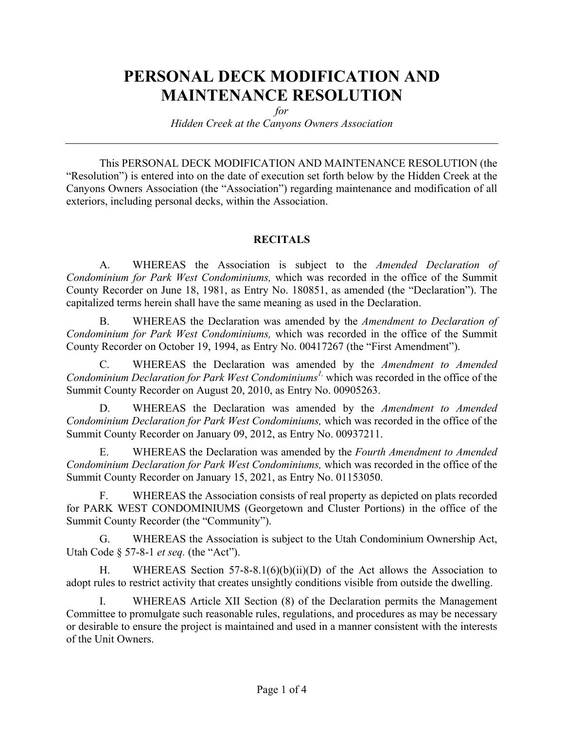# **PERSONAL DECK MODIFICATION AND MAINTENANCE RESOLUTION**

*for*

*Hidden Creek at the Canyons Owners Association*

This PERSONAL DECK MODIFICATION AND MAINTENANCE RESOLUTION (the "Resolution") is entered into on the date of execution set forth below by the Hidden Creek at the Canyons Owners Association (the "Association") regarding maintenance and modification of all exteriors, including personal decks, within the Association.

#### **RECITALS**

A. WHEREAS the Association is subject to the *Amended Declaration of Condominium for Park West Condominiums,* which was recorded in the office of the Summit County Recorder on June 18, 1981, as Entry No. 180851, as amended (the "Declaration"). The capitalized terms herein shall have the same meaning as used in the Declaration.

B. WHEREAS the Declaration was amended by the *Amendment to Declaration of Condominium for Park West Condominiums,* which was recorded in the office of the Summit County Recorder on October 19, 1994, as Entry No. 00417267 (the "First Amendment").

C. WHEREAS the Declaration was amended by the *Amendment to Amended Condominium Declaration for Park West Condominiums1,* which was recorded in the office of the Summit County Recorder on August 20, 2010, as Entry No. 00905263.

D. WHEREAS the Declaration was amended by the *Amendment to Amended Condominium Declaration for Park West Condominiums,* which was recorded in the office of the Summit County Recorder on January 09, 2012, as Entry No. 00937211.

E. WHEREAS the Declaration was amended by the *Fourth Amendment to Amended Condominium Declaration for Park West Condominiums,* which was recorded in the office of the Summit County Recorder on January 15, 2021, as Entry No. 01153050.

F. WHEREAS the Association consists of real property as depicted on plats recorded for PARK WEST CONDOMINIUMS (Georgetown and Cluster Portions) in the office of the Summit County Recorder (the "Community").

G. WHEREAS the Association is subject to the Utah Condominium Ownership Act, Utah Code § 57-8-1 *et seq.* (the "Act").

H. WHEREAS Section 57-8-8.1(6)(b)(ii)(D) of the Act allows the Association to adopt rules to restrict activity that creates unsightly conditions visible from outside the dwelling.

I. WHEREAS Article XII Section (8) of the Declaration permits the Management Committee to promulgate such reasonable rules, regulations, and procedures as may be necessary or desirable to ensure the project is maintained and used in a manner consistent with the interests of the Unit Owners.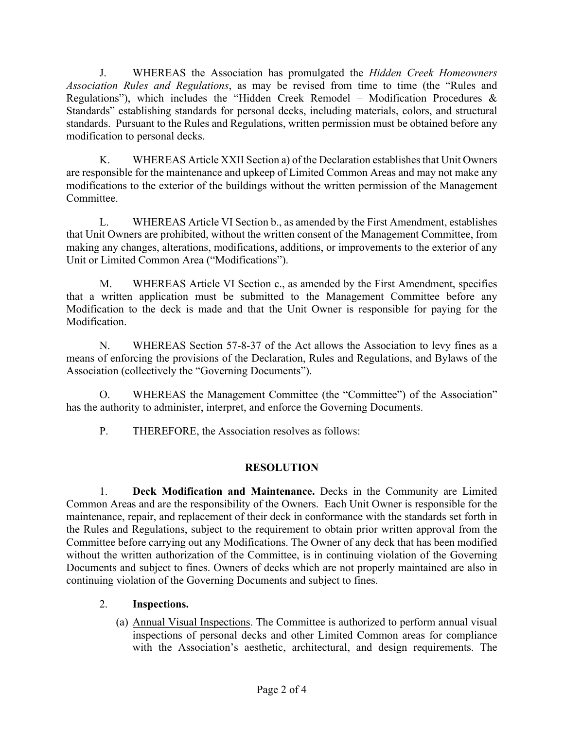J. WHEREAS the Association has promulgated the *Hidden Creek Homeowners Association Rules and Regulations*, as may be revised from time to time (the "Rules and Regulations"), which includes the "Hidden Creek Remodel – Modification Procedures  $\&$ Standards" establishing standards for personal decks, including materials, colors, and structural standards. Pursuant to the Rules and Regulations, written permission must be obtained before any modification to personal decks.

K. WHEREAS Article XXII Section a) of the Declaration establishes that Unit Owners are responsible for the maintenance and upkeep of Limited Common Areas and may not make any modifications to the exterior of the buildings without the written permission of the Management **Committee** 

L. WHEREAS Article VI Section b., as amended by the First Amendment, establishes that Unit Owners are prohibited, without the written consent of the Management Committee, from making any changes, alterations, modifications, additions, or improvements to the exterior of any Unit or Limited Common Area ("Modifications").

M. WHEREAS Article VI Section c., as amended by the First Amendment, specifies that a written application must be submitted to the Management Committee before any Modification to the deck is made and that the Unit Owner is responsible for paying for the Modification.

N. WHEREAS Section 57-8-37 of the Act allows the Association to levy fines as a means of enforcing the provisions of the Declaration, Rules and Regulations, and Bylaws of the Association (collectively the "Governing Documents").

O. WHEREAS the Management Committee (the "Committee") of the Association" has the authority to administer, interpret, and enforce the Governing Documents.

P. THEREFORE, the Association resolves as follows:

## **RESOLUTION**

1. **Deck Modification and Maintenance.** Decks in the Community are Limited Common Areas and are the responsibility of the Owners. Each Unit Owner is responsible for the maintenance, repair, and replacement of their deck in conformance with the standards set forth in the Rules and Regulations, subject to the requirement to obtain prior written approval from the Committee before carrying out any Modifications. The Owner of any deck that has been modified without the written authorization of the Committee, is in continuing violation of the Governing Documents and subject to fines. Owners of decks which are not properly maintained are also in continuing violation of the Governing Documents and subject to fines.

## 2. **Inspections.**

(a) Annual Visual Inspections. The Committee is authorized to perform annual visual inspections of personal decks and other Limited Common areas for compliance with the Association's aesthetic, architectural, and design requirements. The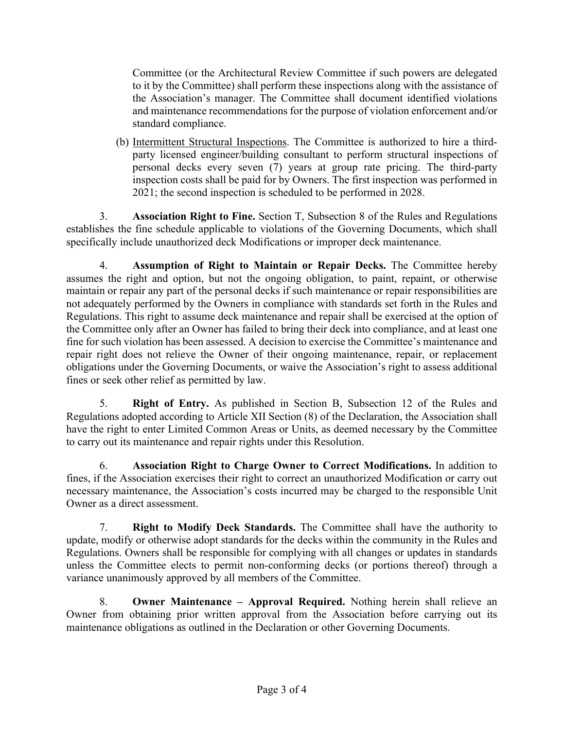Committee (or the Architectural Review Committee if such powers are delegated to it by the Committee) shall perform these inspections along with the assistance of the Association's manager. The Committee shall document identified violations and maintenance recommendations for the purpose of violation enforcement and/or standard compliance.

(b) Intermittent Structural Inspections. The Committee is authorized to hire a thirdparty licensed engineer/building consultant to perform structural inspections of personal decks every seven (7) years at group rate pricing. The third-party inspection costs shall be paid for by Owners. The first inspection was performed in 2021; the second inspection is scheduled to be performed in 2028.

3. **Association Right to Fine.** Section T, Subsection 8 of the Rules and Regulations establishes the fine schedule applicable to violations of the Governing Documents, which shall specifically include unauthorized deck Modifications or improper deck maintenance.

4. **Assumption of Right to Maintain or Repair Decks.** The Committee hereby assumes the right and option, but not the ongoing obligation, to paint, repaint, or otherwise maintain or repair any part of the personal decks if such maintenance or repair responsibilities are not adequately performed by the Owners in compliance with standards set forth in the Rules and Regulations. This right to assume deck maintenance and repair shall be exercised at the option of the Committee only after an Owner has failed to bring their deck into compliance, and at least one fine for such violation has been assessed. A decision to exercise the Committee's maintenance and repair right does not relieve the Owner of their ongoing maintenance, repair, or replacement obligations under the Governing Documents, or waive the Association's right to assess additional fines or seek other relief as permitted by law.

5. **Right of Entry.** As published in Section B, Subsection 12 of the Rules and Regulations adopted according to Article XII Section (8) of the Declaration, the Association shall have the right to enter Limited Common Areas or Units, as deemed necessary by the Committee to carry out its maintenance and repair rights under this Resolution.

6. **Association Right to Charge Owner to Correct Modifications.** In addition to fines, if the Association exercises their right to correct an unauthorized Modification or carry out necessary maintenance, the Association's costs incurred may be charged to the responsible Unit Owner as a direct assessment.

7. **Right to Modify Deck Standards.** The Committee shall have the authority to update, modify or otherwise adopt standards for the decks within the community in the Rules and Regulations. Owners shall be responsible for complying with all changes or updates in standards unless the Committee elects to permit non-conforming decks (or portions thereof) through a variance unanimously approved by all members of the Committee.

8. **Owner Maintenance – Approval Required.** Nothing herein shall relieve an Owner from obtaining prior written approval from the Association before carrying out its maintenance obligations as outlined in the Declaration or other Governing Documents.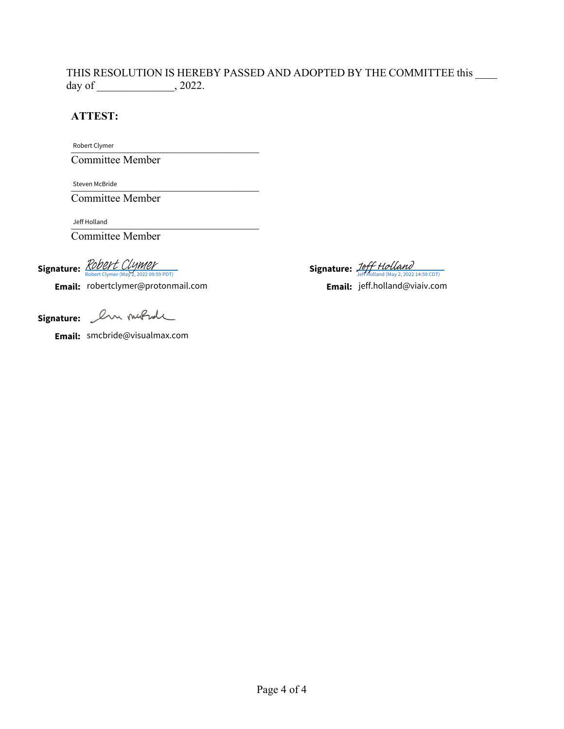#### THIS RESOLUTION IS HEREBY PASSED AND ADOPTED BY THE COMMITTEE this \_\_\_\_\_ day of  $\qquad \qquad$ , 2022.

## **ATTEST:**

Robert Clymer

Committee Member

Steven McBride

Committee Member

\_\_\_\_\_\_\_\_\_\_\_\_\_\_\_\_\_\_\_\_\_\_\_\_\_\_\_\_\_\_\_\_\_\_ Jeff Holland

Committee Member

Signature: *[Robert Clymer](https://na4.documents.adobe.com/verifier?tx=CBJCHBCAABAASTTTnnxlyTmr4anq_HCdxJt1-p4XWWSD)* 

Robert Clymer (May 2, 2022 09:59 PDT)<br> **Email:** robertclymer@protonmail.com **Jeff Holland (May 2, 2022 14:59 CDT)** 

**Signature:** [Jeff Holland](https://na4.documents.adobe.com/verifier?tx=CBJCHBCAABAASTTTnnxlyTmr4anq_HCdxJt1-p4XWWSD) Steven McBride<br>
Committee Member<br>
Jeff Holland<br> **e:** *Robert Clymer* (May 2, 2022 09:59 PDT)<br> **ii:** robertclymer@protonmail.com<br> **Email:** jeff.holland (May 2, 2022 14:59 CDT)<br> **Email:** jeff.holland (@viaiv.com<br> **Email:** je

**Email:** jeff.holland@viaiv.com

**Signature:**

**Email:** smcbride@visualmax.com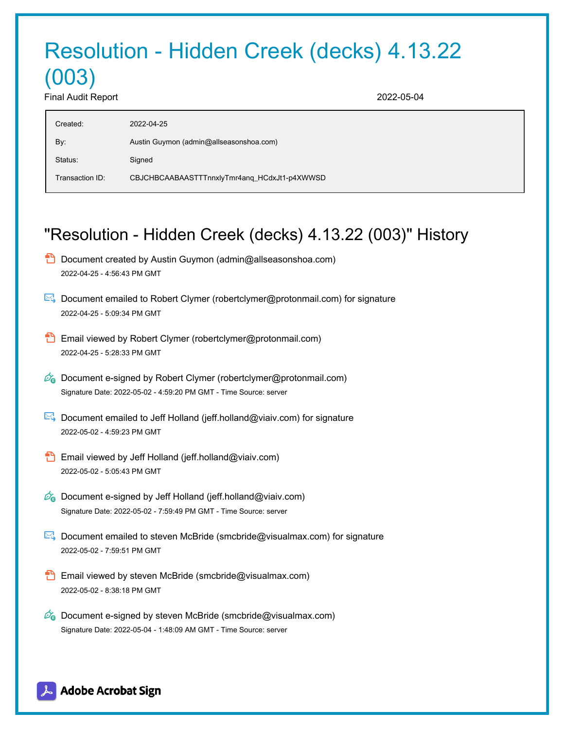# Resolution - Hidden Creek (decks) 4.13.22 (003)

Final Audit Report 2022-05-04

| Created:        | 2022-04-25                                   |
|-----------------|----------------------------------------------|
| By:             | Austin Guymon (admin@allseasonshoa.com)      |
| Status:         | Signed                                       |
| Transaction ID: | CBJCHBCAABAASTTTnnxlyTmr4ang_HCdxJt1-p4XWWSD |

# "Resolution - Hidden Creek (decks) 4.13.22 (003)" History

- **D** Document created by Austin Guymon (admin@allseasonshoa.com) 2022-04-25 - 4:56:43 PM GMT
- Document emailed to Robert Clymer (robertclymer@protonmail.com) for signature 2022-04-25 - 5:09:34 PM GMT
- Email viewed by Robert Clymer (robertclymer@protonmail.com) 2022-04-25 - 5:28:33 PM GMT
- $\mathscr{O}_\bullet$  Document e-signed by Robert Clymer (robertclymer@protonmail.com) Signature Date: 2022-05-02 - 4:59:20 PM GMT - Time Source: server
- Document emailed to Jeff Holland (jeff.holland@viaiv.com) for signature 2022-05-02 - 4:59:23 PM GMT
- Email viewed by Jeff Holland (jeff.holland@viaiv.com) 2022-05-02 - 5:05:43 PM GMT
- $\mathbb{Z}_{\Theta}$  Document e-signed by Jeff Holland (jeff.holland@viaiv.com) Signature Date: 2022-05-02 - 7:59:49 PM GMT - Time Source: server
- Document emailed to steven McBride (smcbride@visualmax.com) for signature 2022-05-02 - 7:59:51 PM GMT
- **Email viewed by steven McBride (smcbride@visualmax.com)** 2022-05-02 - 8:38:18 PM GMT
- $\mathscr{D}_{\bullet}$  Document e-signed by steven McBride (smcbride@visualmax.com) Signature Date: 2022-05-04 - 1:48:09 AM GMT - Time Source: server